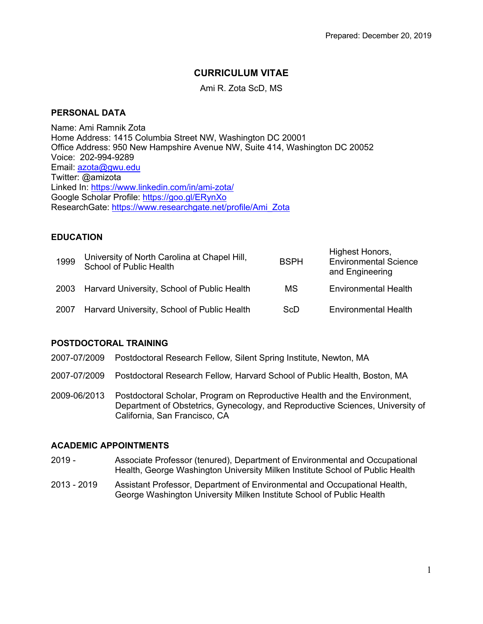# **CURRICULUM VITAE**

Ami R. Zota ScD, MS

# **PERSONAL DATA**

Name: Ami Ramnik Zota Home Address: 1415 Columbia Street NW, Washington DC 20001 Office Address: 950 New Hampshire Avenue NW, Suite 414, Washington DC 20052 Voice: 202-994-9289 Email: azota@gwu.edu Twitter: @amizota Linked In: https://www.linkedin.com/in/ami-zota/ Google Scholar Profile: https://goo.gl/ERynXo ResearchGate: https://www.researchgate.net/profile/Ami\_Zota

## **EDUCATION**

| 1999 | University of North Carolina at Chapel Hill,<br>School of Public Health | <b>BSPH</b> | Highest Honors,<br><b>Environmental Science</b><br>and Engineering |
|------|-------------------------------------------------------------------------|-------------|--------------------------------------------------------------------|
| 2003 | Harvard University, School of Public Health                             | МS          | <b>Environmental Health</b>                                        |
| 2007 | Harvard University, School of Public Health                             | ScD         | <b>Environmental Health</b>                                        |

## **POSTDOCTORAL TRAINING**

- 2007-07/2009 Postdoctoral Research Fellow*,* Silent Spring Institute, Newton, MA
- 2007-07/2009 Postdoctoral Research Fellow*,* Harvard School of Public Health, Boston, MA
- 2009-06/2013 Postdoctoral Scholar, Program on Reproductive Health and the Environment, Department of Obstetrics, Gynecology, and Reproductive Sciences, University of California, San Francisco, CA

## **ACADEMIC APPOINTMENTS**

- 2019 Associate Professor (tenured), Department of Environmental and Occupational Health, George Washington University Milken Institute School of Public Health
- 2013 2019 Assistant Professor, Department of Environmental and Occupational Health, George Washington University Milken Institute School of Public Health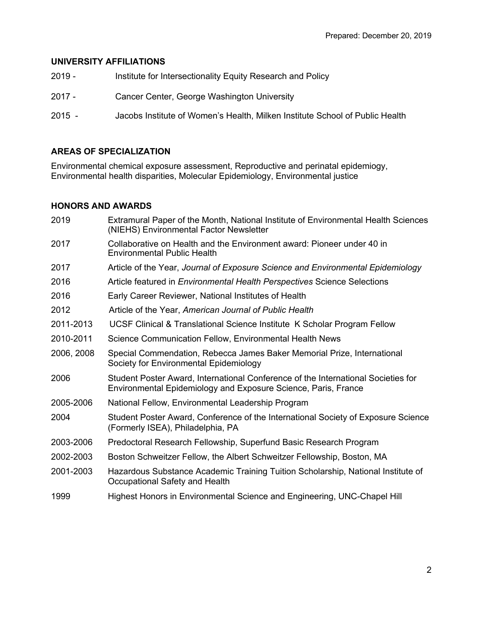## **UNIVERSITY AFFILIATIONS**

| $2019 -$ | Institute for Intersectionality Equity Research and Policy                   |
|----------|------------------------------------------------------------------------------|
| $2017 -$ | Cancer Center, George Washington University                                  |
| $2015 -$ | Jacobs Institute of Women's Health, Milken Institute School of Public Health |

# **AREAS OF SPECIALIZATION**

Environmental chemical exposure assessment, Reproductive and perinatal epidemiogy, Environmental health disparities, Molecular Epidemiology, Environmental justice

# **HONORS AND AWARDS**

| 2019       | Extramural Paper of the Month, National Institute of Environmental Health Sciences<br>(NIEHS) Environmental Factor Newsletter                       |
|------------|-----------------------------------------------------------------------------------------------------------------------------------------------------|
| 2017       | Collaborative on Health and the Environment award: Pioneer under 40 in<br><b>Environmental Public Health</b>                                        |
| 2017       | Article of the Year, Journal of Exposure Science and Environmental Epidemiology                                                                     |
| 2016       | Article featured in <i>Environmental Health Perspectives</i> Science Selections                                                                     |
| 2016       | Early Career Reviewer, National Institutes of Health                                                                                                |
| 2012       | Article of the Year, American Journal of Public Health                                                                                              |
| 2011-2013  | UCSF Clinical & Translational Science Institute K Scholar Program Fellow                                                                            |
| 2010-2011  | Science Communication Fellow, Environmental Health News                                                                                             |
| 2006, 2008 | Special Commendation, Rebecca James Baker Memorial Prize, International<br>Society for Environmental Epidemiology                                   |
| 2006       | Student Poster Award, International Conference of the International Societies for<br>Environmental Epidemiology and Exposure Science, Paris, France |
| 2005-2006  | National Fellow, Environmental Leadership Program                                                                                                   |
| 2004       | Student Poster Award, Conference of the International Society of Exposure Science<br>(Formerly ISEA), Philadelphia, PA                              |
| 2003-2006  | Predoctoral Research Fellowship, Superfund Basic Research Program                                                                                   |
| 2002-2003  | Boston Schweitzer Fellow, the Albert Schweitzer Fellowship, Boston, MA                                                                              |
| 2001-2003  | Hazardous Substance Academic Training Tuition Scholarship, National Institute of<br>Occupational Safety and Health                                  |
| 1999       | Highest Honors in Environmental Science and Engineering, UNC-Chapel Hill                                                                            |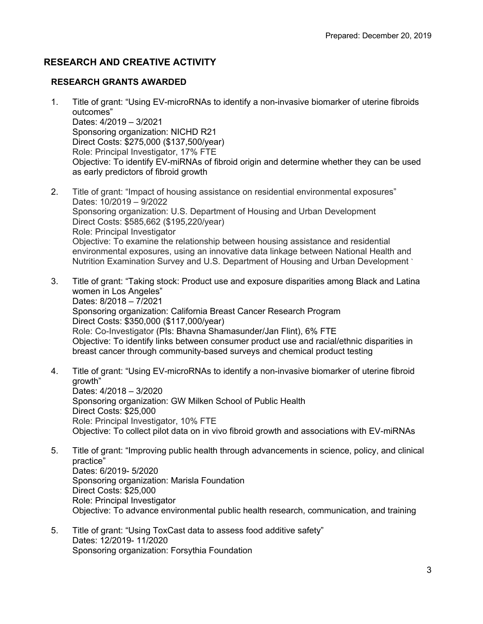# **RESEARCH AND CREATIVE ACTIVITY**

## **RESEARCH GRANTS AWARDED**

- 1. Title of grant: "Using EV-microRNAs to identify a non-invasive biomarker of uterine fibroids outcomes" Dates: 4/2019 – 3/2021 Sponsoring organization: NICHD R21 Direct Costs: \$275,000 (\$137,500/year) Role: Principal Investigator, 17% FTE Objective: To identify EV-miRNAs of fibroid origin and determine whether they can be used as early predictors of fibroid growth
- 2. Title of grant: "Impact of housing assistance on residential environmental exposures" Dates: 10/2019 – 9/2022 Sponsoring organization: U.S. Department of Housing and Urban Development Direct Costs: \$585,662 (\$195,220/year) Role: Principal Investigator Objective: To examine the relationship between housing assistance and residential environmental exposures, using an innovative data linkage between National Health and Nutrition Examination Survey and U.S. Department of Housing and Urban Development `
- 3. Title of grant: "Taking stock: Product use and exposure disparities among Black and Latina women in Los Angeles" Dates: 8/2018 – 7/2021 Sponsoring organization: California Breast Cancer Research Program Direct Costs: \$350,000 (\$117,000/year) Role: Co-Investigator (PIs: Bhavna Shamasunder/Jan Flint), 6% FTE Objective: To identify links between consumer product use and racial/ethnic disparities in breast cancer through community-based surveys and chemical product testing
- 4. Title of grant: "Using EV-microRNAs to identify a non-invasive biomarker of uterine fibroid growth" Dates: 4/2018 – 3/2020 Sponsoring organization: GW Milken School of Public Health Direct Costs: \$25,000 Role: Principal Investigator, 10% FTE Objective: To collect pilot data on in vivo fibroid growth and associations with EV-miRNAs
- 5. Title of grant: "Improving public health through advancements in science, policy, and clinical practice" Dates: 6/2019- 5/2020 Sponsoring organization: Marisla Foundation Direct Costs: \$25,000 Role: Principal Investigator Objective: To advance environmental public health research, communication, and training
- 5. Title of grant: "Using ToxCast data to assess food additive safety" Dates: 12/2019- 11/2020 Sponsoring organization: Forsythia Foundation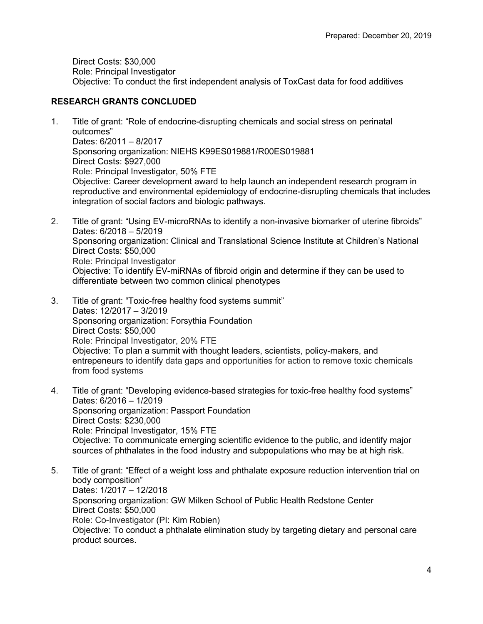Direct Costs: \$30,000 Role: Principal Investigator Objective: To conduct the first independent analysis of ToxCast data for food additives

## **RESEARCH GRANTS CONCLUDED**

- 1. Title of grant: "Role of endocrine-disrupting chemicals and social stress on perinatal outcomes" Dates: 6/2011 – 8/2017 Sponsoring organization: NIEHS K99ES019881/R00ES019881 Direct Costs: \$927,000 Role: Principal Investigator, 50% FTE Objective: Career development award to help launch an independent research program in reproductive and environmental epidemiology of endocrine-disrupting chemicals that includes integration of social factors and biologic pathways.
- 2. Title of grant: "Using EV-microRNAs to identify a non-invasive biomarker of uterine fibroids" Dates: 6/2018 – 5/2019 Sponsoring organization: Clinical and Translational Science Institute at Children's National Direct Costs: \$50,000 Role: Principal Investigator Objective: To identify EV-miRNAs of fibroid origin and determine if they can be used to differentiate between two common clinical phenotypes
- 3. Title of grant: "Toxic-free healthy food systems summit" Dates: 12/2017 – 3/2019 Sponsoring organization: Forsythia Foundation Direct Costs: \$50,000 Role: Principal Investigator, 20% FTE Objective: To plan a summit with thought leaders, scientists, policy-makers, and entrepeneurs to identify data gaps and opportunities for action to remove toxic chemicals from food systems
- 4. Title of grant: "Developing evidence-based strategies for toxic-free healthy food systems" Dates: 6/2016 – 1/2019 Sponsoring organization: Passport Foundation Direct Costs: \$230,000 Role: Principal Investigator, 15% FTE Objective: To communicate emerging scientific evidence to the public, and identify major sources of phthalates in the food industry and subpopulations who may be at high risk.
- 5. Title of grant: "Effect of a weight loss and phthalate exposure reduction intervention trial on body composition" Dates: 1/2017 – 12/2018 Sponsoring organization: GW Milken School of Public Health Redstone Center Direct Costs: \$50,000 Role: Co-Investigator (PI: Kim Robien) Objective: To conduct a phthalate elimination study by targeting dietary and personal care product sources.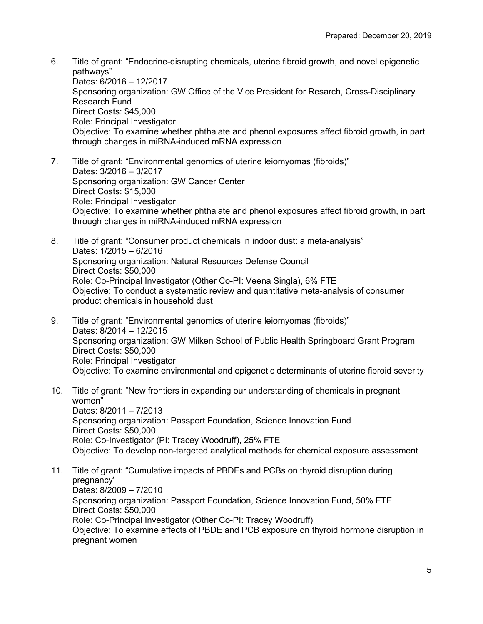- 6. Title of grant: "Endocrine-disrupting chemicals, uterine fibroid growth, and novel epigenetic pathways" Dates: 6/2016 – 12/2017 Sponsoring organization: GW Office of the Vice President for Resarch, Cross-Disciplinary Research Fund Direct Costs: \$45,000 Role: Principal Investigator Objective: To examine whether phthalate and phenol exposures affect fibroid growth, in part through changes in miRNA-induced mRNA expression
- 7. Title of grant: "Environmental genomics of uterine leiomyomas (fibroids)" Dates: 3/2016 – 3/2017 Sponsoring organization: GW Cancer Center Direct Costs: \$15,000 Role: Principal Investigator Objective: To examine whether phthalate and phenol exposures affect fibroid growth, in part through changes in miRNA-induced mRNA expression
- 8. Title of grant: "Consumer product chemicals in indoor dust: a meta-analysis" Dates: 1/2015 – 6/2016 Sponsoring organization: Natural Resources Defense Council Direct Costs: \$50,000 Role: Co-Principal Investigator (Other Co-PI: Veena Singla), 6% FTE Objective: To conduct a systematic review and quantitative meta-analysis of consumer product chemicals in household dust
- 9. Title of grant: "Environmental genomics of uterine leiomyomas (fibroids)" Dates: 8/2014 – 12/2015 Sponsoring organization: GW Milken School of Public Health Springboard Grant Program Direct Costs: \$50,000 Role: Principal Investigator Objective: To examine environmental and epigenetic determinants of uterine fibroid severity
- 10. Title of grant: "New frontiers in expanding our understanding of chemicals in pregnant women" Dates: 8/2011 – 7/2013 Sponsoring organization: Passport Foundation, Science Innovation Fund Direct Costs: \$50,000 Role: Co-Investigator (PI: Tracey Woodruff), 25% FTE Objective: To develop non-targeted analytical methods for chemical exposure assessment
- 11. Title of grant: "Cumulative impacts of PBDEs and PCBs on thyroid disruption during pregnancy" Dates: 8/2009 – 7/2010 Sponsoring organization: Passport Foundation, Science Innovation Fund, 50% FTE Direct Costs: \$50,000 Role: Co-Principal Investigator (Other Co-PI: Tracey Woodruff) Objective: To examine effects of PBDE and PCB exposure on thyroid hormone disruption in pregnant women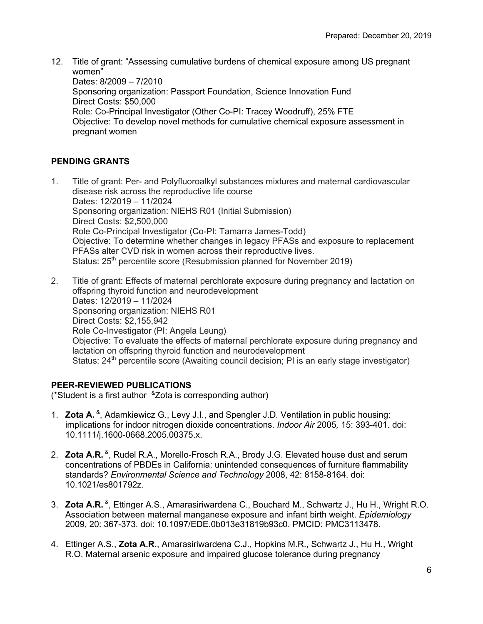12. Title of grant: "Assessing cumulative burdens of chemical exposure among US pregnant women" Dates: 8/2009 – 7/2010 Sponsoring organization: Passport Foundation, Science Innovation Fund Direct Costs: \$50,000 Role: Co-Principal Investigator (Other Co-PI: Tracey Woodruff), 25% FTE Objective: To develop novel methods for cumulative chemical exposure assessment in pregnant women

# **PENDING GRANTS**

- 1. Title of grant: Per- and Polyfluoroalkyl substances mixtures and maternal cardiovascular disease risk across the reproductive life course Dates: 12/2019 – 11/2024 Sponsoring organization: NIEHS R01 (Initial Submission) Direct Costs: \$2,500,000 Role Co-Principal Investigator (Co-PI: Tamarra James-Todd) Objective: To determine whether changes in legacy PFASs and exposure to replacement PFASs alter CVD risk in women across their reproductive lives. Status: 25<sup>th</sup> percentile score (Resubmission planned for November 2019)
- 2. Title of grant: Effects of maternal perchlorate exposure during pregnancy and lactation on offspring thyroid function and neurodevelopment Dates: 12/2019 – 11/2024 Sponsoring organization: NIEHS R01 Direct Costs: \$2,155,942 Role Co-Investigator (PI: Angela Leung) Objective: To evaluate the effects of maternal perchlorate exposure during pregnancy and lactation on offspring thyroid function and neurodevelopment Status: 24<sup>th</sup> percentile score (Awaiting council decision; PI is an early stage investigator)

# **PEER-REVIEWED PUBLICATIONS**

(\*Student is a first author  $^8$ Zota is corresponding author)

- 1. **Zota A.** &, Adamkiewicz G., Levy J.I., and Spengler J.D*.* Ventilation in public housing: implications for indoor nitrogen dioxide concentrations. *Indoor Air* 2005*,* 15: 393-401. doi: 10.1111/j.1600-0668.2005.00375.x.
- 2. **Zota A.R.** &, Rudel R.A., Morello-Frosch R.A., Brody J.G. Elevated house dust and serum concentrations of PBDEs in California: unintended consequences of furniture flammability standards? *Environmental Science and Technology* 2008, 42: 8158-8164. doi: 10.1021/es801792z.
- 3. **Zota A.R.** &, Ettinger A.S., Amarasiriwardena C., Bouchard M., Schwartz J., Hu H., Wright R.O. Association between maternal manganese exposure and infant birth weight. *Epidemiology* 2009, 20: 367-373. doi: 10.1097/EDE.0b013e31819b93c0. PMCID: PMC3113478.
- 4. Ettinger A.S., **Zota A.R.**, Amarasiriwardena C.J., Hopkins M.R., Schwartz J., Hu H., Wright R.O. Maternal arsenic exposure and impaired glucose tolerance during pregnancy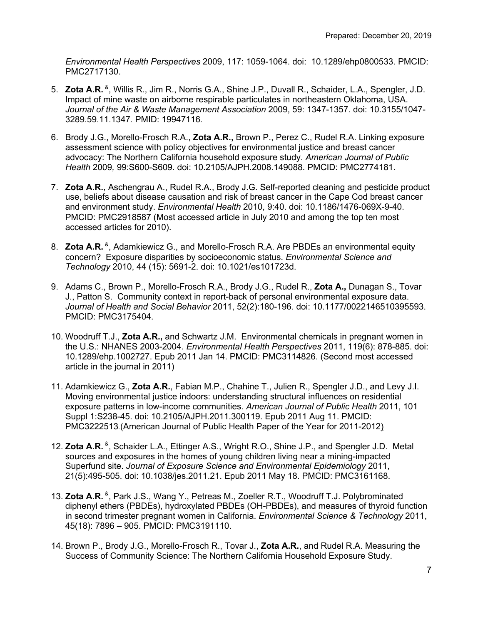*Environmental Health Perspectives* 2009, 117: 1059-1064. doi: 10.1289/ehp0800533. PMCID: PMC2717130.

- 5. **Zota A.R.** &, Willis R., Jim R., Norris G.A., Shine J.P., Duvall R., Schaider, L.A., Spengler, J.D. Impact of mine waste on airborne respirable particulates in northeastern Oklahoma, USA. *Journal of the Air & Waste Management Association* 2009, 59: 1347-1357*.* doi: 10.3155/1047- 3289.59.11.1347*.* PMID: 19947116*.*
- 6. Brody J.G., Morello-Frosch R.A., **Zota A.R.,** Brown P., Perez C., Rudel R.A. Linking exposure assessment science with policy objectives for environmental justice and breast cancer advocacy: The Northern California household exposure study. *American Journal of Public Health* 2009*,* 99:S600-S609. doi: 10.2105/AJPH.2008.149088. PMCID: PMC2774181.
- 7. **Zota A.R.**, Aschengrau A., Rudel R.A., Brody J.G. Self-reported cleaning and pesticide product use, beliefs about disease causation and risk of breast cancer in the Cape Cod breast cancer and environment study. *Environmental Health* 2010, 9:40. doi: 10.1186/1476-069X-9-40. PMCID: PMC2918587 (Most accessed article in July 2010 and among the top ten most accessed articles for 2010).
- 8. **Zota A.R.** &, Adamkiewicz G., and Morello-Frosch R.A. Are PBDEs an environmental equity concern? Exposure disparities by socioeconomic status. *Environmental Science and Technology* 2010, 44 (15): 5691-2. doi: 10.1021/es101723d.
- 9. Adams C., Brown P., Morello-Frosch R.A., Brody J.G., Rudel R., **Zota A.,** Dunagan S., Tovar J., Patton S. Community context in report-back of personal environmental exposure data. *Journal of Health and Social Behavior* 2011, 52(2):180-196. doi: 10.1177/0022146510395593. PMCID: PMC3175404.
- 10. Woodruff T.J., **Zota A.R.,** and Schwartz J.M. Environmental chemicals in pregnant women in the U.S.: NHANES 2003-2004. *Environmental Health Perspectives* 2011, 119(6): 878-885. doi: 10.1289/ehp.1002727. Epub 2011 Jan 14. PMCID: PMC3114826. (Second most accessed article in the journal in 2011)
- 11. Adamkiewicz G., **Zota A.R.**, Fabian M.P., Chahine T., Julien R., Spengler J.D., and Levy J.I. Moving environmental justice indoors: understanding structural influences on residential exposure patterns in low-income communities. *American Journal of Public Health* 2011, 101 Suppl 1:S238-45. doi: 10.2105/AJPH.2011.300119. Epub 2011 Aug 11. PMCID: PMC3222513.(American Journal of Public Health Paper of the Year for 2011-2012)
- 12. **Zota A.R.** <sup>&</sup>, Schaider L.A., Ettinger A.S., Wright R.O., Shine J.P., and Spengler J.D. Metal sources and exposures in the homes of young children living near a mining-impacted Superfund site. *Journal of Exposure Science and Environmental Epidemiology* 2011, 21(5):495-505. doi: 10.1038/jes.2011.21. Epub 2011 May 18. PMCID: PMC3161168.
- 13. **Zota A.R.** &, Park J.S., Wang Y., Petreas M., Zoeller R.T., Woodruff T.J. Polybrominated diphenyl ethers (PBDEs), hydroxylated PBDEs (OH-PBDEs), and measures of thyroid function in second trimester pregnant women in California. *Environmental Science & Technology* 2011, 45(18): 7896 – 905. PMCID: PMC3191110.
- 14. Brown P., Brody J.G., Morello-Frosch R., Tovar J., **Zota A.R.**, and Rudel R.A. Measuring the Success of Community Science: The Northern California Household Exposure Study.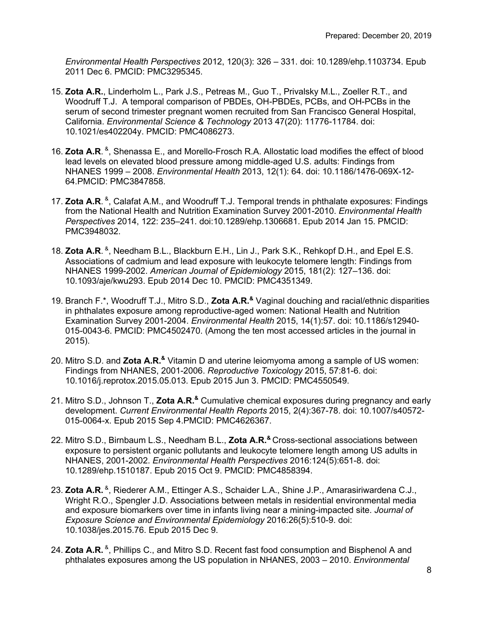*Environmental Health Perspectives* 2012, 120(3): 326 – 331. doi: 10.1289/ehp.1103734. Epub 2011 Dec 6. PMCID: PMC3295345.

- 15. **Zota A.R.**, Linderholm L., Park J.S., Petreas M., Guo T., Privalsky M.L., Zoeller R.T., and Woodruff T.J. A temporal comparison of PBDEs, OH-PBDEs, PCBs, and OH-PCBs in the serum of second trimester pregnant women recruited from San Francisco General Hospital, California. *Environmental Science & Technology* 2013 47(20): 11776-11784. doi: 10.1021/es402204y. PMCID: PMC4086273.
- 16. **Zota A.R.** &, Shenassa E., and Morello-Frosch R.A. Allostatic load modifies the effect of blood lead levels on elevated blood pressure among middle-aged U.S. adults: Findings from NHANES 1999 – 2008. *Environmental Health* 2013, 12(1): 64. doi: 10.1186/1476-069X-12- 64.PMCID: PMC3847858.
- 17. Zota A.R. <sup>&</sup>, Calafat A.M., and Woodruff T.J. Temporal trends in phthalate exposures: Findings from the National Health and Nutrition Examination Survey 2001-2010. *Environmental Health Perspectives* 2014, 122: 235–241. doi:10.1289/ehp.1306681. Epub 2014 Jan 15. PMCID: PMC3948032.
- 18. **Zota A.R.** <sup>&</sup>, Needham B.L., Blackburn E.H., Lin J., Park S.K., Rehkopf D.H., and Epel E.S. Associations of cadmium and lead exposure with leukocyte telomere length: Findings from NHANES 1999-2002. *American Journal of Epidemiology* 2015, 181(2): 127–136. doi: 10.1093/aje/kwu293. Epub 2014 Dec 10. PMCID: PMC4351349.
- 19. Branch F.\*, Woodruff T.J., Mitro S.D., **Zota A.R.&** Vaginal douching and racial/ethnic disparities in phthalates exposure among reproductive-aged women: National Health and Nutrition Examination Survey 2001-2004. *Environmental Health* 2015, 14(1):57. doi: 10.1186/s12940- 015-0043-6. PMCID: PMC4502470. (Among the ten most accessed articles in the journal in 2015).
- 20. Mitro S.D. and **Zota A.R.&** Vitamin D and uterine leiomyoma among a sample of US women: Findings from NHANES, 2001-2006. *Reproductive Toxicology* 2015, 57:81-6. doi: 10.1016/j.reprotox.2015.05.013. Epub 2015 Jun 3. PMCID: PMC4550549.
- 21. Mitro S.D., Johnson T., **Zota A.R.&** Cumulative chemical exposures during pregnancy and early development. *Current Environmental Health Reports* 2015, 2(4):367-78. doi: 10.1007/s40572- 015-0064-x. Epub 2015 Sep 4.PMCID: PMC4626367.
- 22. Mitro S.D., Birnbaum L.S., Needham B.L., **Zota A.R.&** Cross-sectional associations between exposure to persistent organic pollutants and leukocyte telomere length among US adults in NHANES, 2001-2002. *Environmental Health Perspectives* 2016:124(5):651-8. doi: 10.1289/ehp.1510187. Epub 2015 Oct 9. PMCID: PMC4858394.
- 23. **Zota A.R.** &, Riederer A.M., Ettinger A.S., Schaider L.A., Shine J.P., Amarasiriwardena C.J., Wright R.O., Spengler J.D. Associations between metals in residential environmental media and exposure biomarkers over time in infants living near a mining-impacted site. *Journal of Exposure Science and Environmental Epidemiology* 2016:26(5):510-9. doi: 10.1038/jes.2015.76. Epub 2015 Dec 9.
- 24. **Zota A.R.** <sup>&</sup>, Phillips C., and Mitro S.D. Recent fast food consumption and Bisphenol A and phthalates exposures among the US population in NHANES, 2003 – 2010. *Environmental*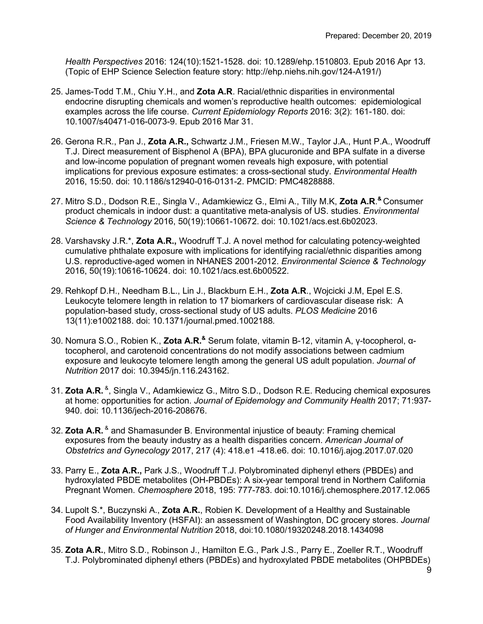*Health Perspectives* 2016: 124(10):1521-1528. doi: 10.1289/ehp.1510803. Epub 2016 Apr 13. (Topic of EHP Science Selection feature story: http://ehp.niehs.nih.gov/124-A191/)

- 25. James-Todd T.M., Chiu Y.H., and **Zota A.R**. Racial/ethnic disparities in environmental endocrine disrupting chemicals and women's reproductive health outcomes: epidemiological examples across the life course. *Current Epidemiology Reports* 2016: 3(2): 161-180. doi: 10.1007/s40471-016-0073-9. Epub 2016 Mar 31.
- 26. Gerona R.R., Pan J., **Zota A.R.,** Schwartz J.M., Friesen M.W., Taylor J.A., Hunt P.A., Woodruff T.J. Direct measurement of Bisphenol A (BPA), BPA glucuronide and BPA sulfate in a diverse and low-income population of pregnant women reveals high exposure, with potential implications for previous exposure estimates: a cross-sectional study. *Environmental Health* 2016, 15:50. doi: 10.1186/s12940-016-0131-2. PMCID: PMC4828888.
- 27. Mitro S.D., Dodson R.E., Singla V., Adamkiewicz G., Elmi A., Tilly M.K, **Zota A.R**. **&** Consumer product chemicals in indoor dust: a quantitative meta-analysis of US. studies. *Environmental Science & Technology* 2016, 50(19):10661-10672. doi: 10.1021/acs.est.6b02023.
- 28. Varshavsky J.R.\*, **Zota A.R.,** Woodruff T.J. A novel method for calculating potency-weighted cumulative phthalate exposure with implications for identifying racial/ethnic disparities among U.S. reproductive-aged women in NHANES 2001-2012. *Environmental Science & Technology* 2016, 50(19):10616-10624. doi: 10.1021/acs.est.6b00522.
- 29. Rehkopf D.H., Needham B.L., Lin J., Blackburn E.H., **Zota A.R**., Wojcicki J.M, Epel E.S. Leukocyte telomere length in relation to 17 biomarkers of cardiovascular disease risk: A population-based study, cross-sectional study of US adults. *PLOS Medicine* 2016 13(11):e1002188. doi: 10.1371/journal.pmed.1002188*.*
- 30. Nomura S.O., Robien K., **Zota A.R.&** Serum folate, vitamin B-12, vitamin A, γ-tocopherol, αtocopherol, and carotenoid concentrations do not modify associations between cadmium exposure and leukocyte telomere length among the general US adult population. *Journal of Nutrition* 2017 doi: 10.3945/jn.116.243162.
- 31. **Zota A.R.** &, Singla V., Adamkiewicz G., Mitro S.D., Dodson R.E. Reducing chemical exposures at home: opportunities for action. *Journal of Epidemology and Community Health* 2017; 71:937- 940. doi: 10.1136/jech-2016-208676.
- 32. **Zota A.R.** & and Shamasunder B. Environmental injustice of beauty: Framing chemical exposures from the beauty industry as a health disparities concern. *American Journal of Obstetrics and Gynecology* 2017, 217 (4): 418.e1 -418.e6. doi: 10.1016/j.ajog.2017.07.020
- 33. Parry E., **Zota A.R.,** Park J.S., Woodruff T.J. Polybrominated diphenyl ethers (PBDEs) and hydroxylated PBDE metabolites (OH-PBDEs): A six-year temporal trend in Northern California Pregnant Women. *Chemosphere* 2018, 195: 777-783. doi:10.1016/j.chemosphere.2017.12.065
- 34. Lupolt S.\*, Buczynski A., **Zota A.R.**, Robien K. Development of a Healthy and Sustainable Food Availability Inventory (HSFAI): an assessment of Washington, DC grocery stores. *Journal of Hunger and Environmental Nutrition* 2018, doi:10.1080/19320248.2018.1434098
- 35. **Zota A.R.**, Mitro S.D., Robinson J., Hamilton E.G., Park J.S., Parry E., Zoeller R.T., Woodruff T.J. Polybrominated diphenyl ethers (PBDEs) and hydroxylated PBDE metabolites (OHPBDEs)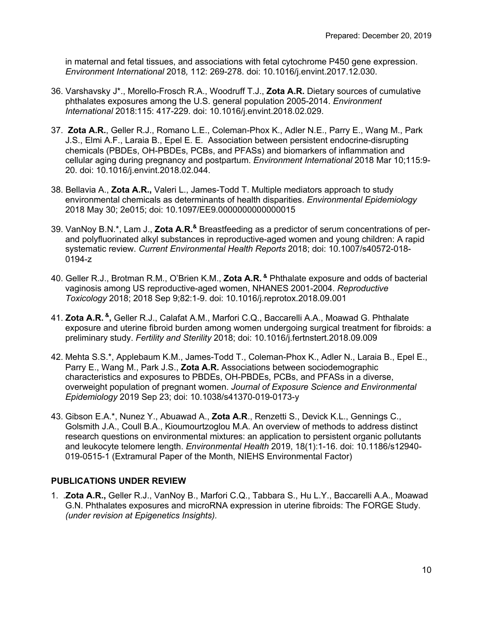in maternal and fetal tissues, and associations with fetal cytochrome P450 gene expression. *Environment International* 2018*,* 112: 269-278. doi: 10.1016/j.envint.2017.12.030.

- 36. Varshavsky J\*., Morello-Frosch R.A., Woodruff T.J., **Zota A.R.** Dietary sources of cumulative phthalates exposures among the U.S. general population 2005-2014. *Environment International* 2018:115: 417-229. doi: 10.1016/j.envint.2018.02.029.
- 37. **Zota A.R.**, Geller R.J., Romano L.E., Coleman-Phox K., Adler N.E., Parry E., Wang M., Park J.S., Elmi A.F., Laraia B., Epel E. E. Association between persistent endocrine-disrupting chemicals (PBDEs, OH-PBDEs, PCBs, and PFASs) and biomarkers of inflammation and cellular aging during pregnancy and postpartum. *Environment International* 2018 Mar 10;115:9- 20. doi: 10.1016/j.envint.2018.02.044.
- 38. Bellavia A., **Zota A.R.,** Valeri L., James-Todd T. Multiple mediators approach to study environmental chemicals as determinants of health disparities. *Environmental Epidemiology* 2018 May 30; 2e015; doi: 10.1097/EE9.0000000000000015
- 39. VanNoy B.N.\*, Lam J., **Zota A.R.&** Breastfeeding as a predictor of serum concentrations of perand polyfluorinated alkyl substances in reproductive-aged women and young children: A rapid systematic review. *Current Environmental Health Reports* 2018; doi: 10.1007/s40572-018- 0194-z
- 40. Geller R.J., Brotman R.M., O'Brien K.M., **Zota A.R. &** Phthalate exposure and odds of bacterial vaginosis among US reproductive-aged women, NHANES 2001-2004. *Reproductive Toxicology* 2018; 2018 Sep 9;82:1-9. doi: 10.1016/j.reprotox.2018.09.001
- 41. **Zota A.R. &,** Geller R.J., Calafat A.M., Marfori C.Q., Baccarelli A.A., Moawad G. Phthalate exposure and uterine fibroid burden among women undergoing surgical treatment for fibroids: a preliminary study. *Fertility and Sterility* 2018; doi: 10.1016/j.fertnstert.2018.09.009
- 42. Mehta S.S.\*, Applebaum K.M., James-Todd T., Coleman-Phox K., Adler N., Laraia B., Epel E., Parry E., Wang M., Park J.S., **Zota A.R.** Associations between sociodemographic characteristics and exposures to PBDEs, OH-PBDEs, PCBs, and PFASs in a diverse, overweight population of pregnant women. *Journal of Exposure Science and Environmental Epidemiology* 2019 Sep 23; doi: 10.1038/s41370-019-0173-y
- 43. Gibson E.A.\*, Nunez Y., Abuawad A., **Zota A.R**., Renzetti S., Devick K.L., Gennings C., Golsmith J.A., Coull B.A., Kioumourtzoglou M.A. An overview of methods to address distinct research questions on environmental mixtures: an application to persistent organic pollutants and leukocyte telomere length. *Environmental Health* 2019, 18(1):1-16. doi: 10.1186/s12940- 019-0515-1 (Extramural Paper of the Month, NIEHS Environmental Factor)

# **PUBLICATIONS UNDER REVIEW**

1. .**Zota A.R.,** Geller R.J., VanNoy B., Marfori C.Q., Tabbara S., Hu L.Y., Baccarelli A.A., Moawad G.N. Phthalates exposures and microRNA expression in uterine fibroids: The FORGE Study. *(under revision at Epigenetics Insights).*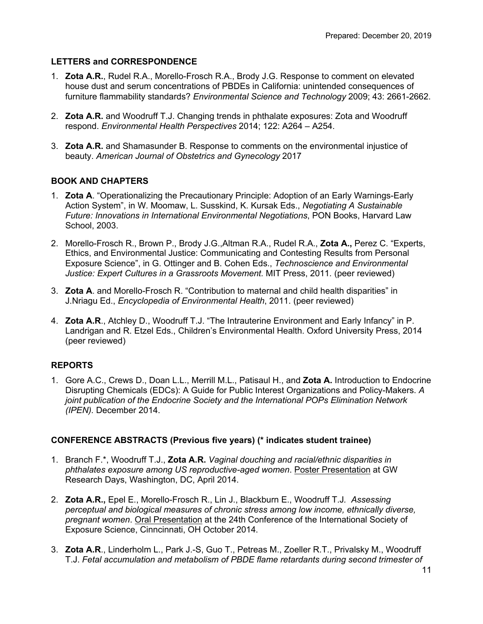# **LETTERS and CORRESPONDENCE**

- 1. **Zota A.R.**, Rudel R.A., Morello-Frosch R.A., Brody J.G. Response to comment on elevated house dust and serum concentrations of PBDEs in California: unintended consequences of furniture flammability standards? *Environmental Science and Technology* 2009; 43: 2661-2662.
- 2. **Zota A.R.** and Woodruff T.J. Changing trends in phthalate exposures: Zota and Woodruff respond. *Environmental Health Perspectives* 2014; 122: A264 – A254.
- 3. **Zota A.R.** and Shamasunder B. Response to comments on the environmental injustice of beauty. *American Journal of Obstetrics and Gynecology* 2017

# **BOOK AND CHAPTERS**

- 1. **Zota A**. "Operationalizing the Precautionary Principle: Adoption of an Early Warnings-Early Action System", in W. Moomaw, L. Susskind, K. Kursak Eds., *Negotiating A Sustainable Future: Innovations in International Environmental Negotiations*, PON Books, Harvard Law School, 2003.
- 2. Morello-Frosch R., Brown P., Brody J.G.,Altman R.A., Rudel R.A., **Zota A.,** Perez C. "Experts, Ethics, and Environmental Justice: Communicating and Contesting Results from Personal Exposure Science", in G. Ottinger and B. Cohen Eds., *Technoscience and Environmental Justice: Expert Cultures in a Grassroots Movement.* MIT Press, 2011*.* (peer reviewed)
- 3. **Zota A**. and Morello-Frosch R. "Contribution to maternal and child health disparities" in J.Nriagu Ed., *Encyclopedia of Environmental Health*, 2011. (peer reviewed)
- 4. **Zota A.R**., Atchley D., Woodruff T.J. "The Intrauterine Environment and Early Infancy" in P. Landrigan and R. Etzel Eds., Children's Environmental Health. Oxford University Press, 2014 (peer reviewed)

# **REPORTS**

1. Gore A.C., Crews D., Doan L.L., Merrill M.L., Patisaul H., and **Zota A.** Introduction to Endocrine Disrupting Chemicals (EDCs): A Guide for Public Interest Organizations and Policy-Makers. *A joint publication of the Endocrine Society and the International POPs Elimination Network (IPEN).* December 2014.

# **CONFERENCE ABSTRACTS (Previous five years) (\* indicates student trainee)**

- 1. Branch F.\*, Woodruff T.J., **Zota A.R.** *Vaginal douching and racial/ethnic disparities in phthalates exposure among US reproductive-aged women*. Poster Presentation at GW Research Days, Washington, DC, April 2014.
- 2. **Zota A.R.,** Epel E., Morello-Frosch R., Lin J., Blackburn E., Woodruff T.J*. Assessing perceptual and biological measures of chronic stress among low income, ethnically diverse, pregnant women*. Oral Presentation at the 24th Conference of the International Society of Exposure Science, Cinncinnati, OH October 2014.
- 3. **Zota A.R**., Linderholm L., Park J.-S, Guo T., Petreas M., Zoeller R.T., Privalsky M., Woodruff T.J. *Fetal accumulation and metabolism of PBDE flame retardants during second trimester of*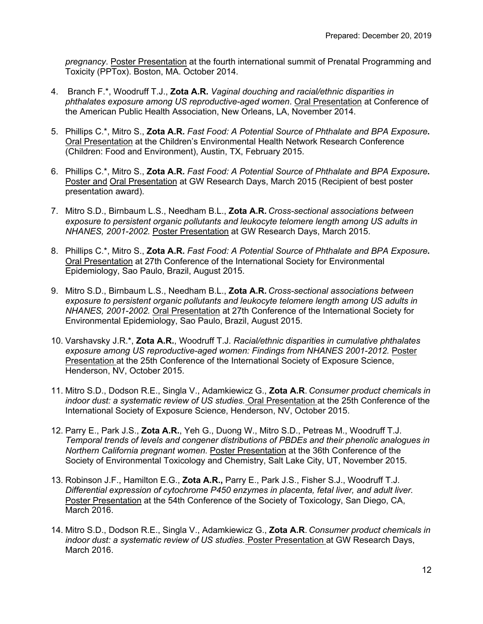*pregnancy*. Poster Presentation at the fourth international summit of Prenatal Programming and Toxicity (PPTox). Boston, MA. October 2014.

- 4. Branch F.\*, Woodruff T.J., **Zota A.R.** *Vaginal douching and racial/ethnic disparities in phthalates exposure among US reproductive-aged women*. Oral Presentation at Conference of the American Public Health Association, New Orleans, LA, November 2014.
- 5. Phillips C.\*, Mitro S., **Zota A.R.** *Fast Food: A Potential Source of Phthalate and BPA Exposure***.**  Oral Presentation at the Children's Environmental Health Network Research Conference (Children: Food and Environment), Austin, TX, February 2015.
- 6. Phillips C.\*, Mitro S., **Zota A.R.** *Fast Food: A Potential Source of Phthalate and BPA Exposure***.**  Poster and Oral Presentation at GW Research Days, March 2015 (Recipient of best poster presentation award).
- 7. Mitro S.D., Birnbaum L.S., Needham B.L., **Zota A.R.** *Cross-sectional associations between exposure to persistent organic pollutants and leukocyte telomere length among US adults in NHANES, 2001-2002.* Poster Presentation at GW Research Days, March 2015.
- 8. Phillips C.\*, Mitro S., **Zota A.R.** *Fast Food: A Potential Source of Phthalate and BPA Exposure***.**  Oral Presentation at 27th Conference of the International Society for Environmental Epidemiology, Sao Paulo, Brazil, August 2015.
- 9. Mitro S.D., Birnbaum L.S., Needham B.L., **Zota A.R.** *Cross-sectional associations between exposure to persistent organic pollutants and leukocyte telomere length among US adults in NHANES, 2001-2002.* Oral Presentation at 27th Conference of the International Society for Environmental Epidemiology, Sao Paulo, Brazil, August 2015.
- 10. Varshavsky J.R.\*, **Zota A.R.**, Woodruff T.J. *Racial/ethnic disparities in cumulative phthalates exposure among US reproductive-aged women: Findings from NHANES 2001-2012.* Poster Presentation at the 25th Conference of the International Society of Exposure Science, Henderson, NV, October 2015.
- 11. Mitro S.D., Dodson R.E., Singla V., Adamkiewicz G., **Zota A.R**. *Consumer product chemicals in indoor dust: a systematic review of US studies.* Oral Presentation at the 25th Conference of the International Society of Exposure Science, Henderson, NV, October 2015.
- 12. Parry E., Park J.S., **Zota A.R.**, Yeh G., Duong W., Mitro S.D., Petreas M., Woodruff T.J. *Temporal trends of levels and congener distributions of PBDEs and their phenolic analogues in Northern California pregnant women.* Poster Presentation at the 36th Conference of the Society of Environmental Toxicology and Chemistry, Salt Lake City, UT, November 2015.
- 13. Robinson J.F., Hamilton E.G., **Zota A.R.,** Parry E., Park J.S., Fisher S.J., Woodruff T.J. *Differential expression of cytochrome P450 enzymes in placenta, fetal liver, and adult liver*. Poster Presentation at the 54th Conference of the Society of Toxicology, San Diego, CA, March 2016.
- 14. Mitro S.D., Dodson R.E., Singla V., Adamkiewicz G., **Zota A.R**. *Consumer product chemicals in indoor dust: a systematic review of US studies.* Poster Presentation at GW Research Days, March 2016.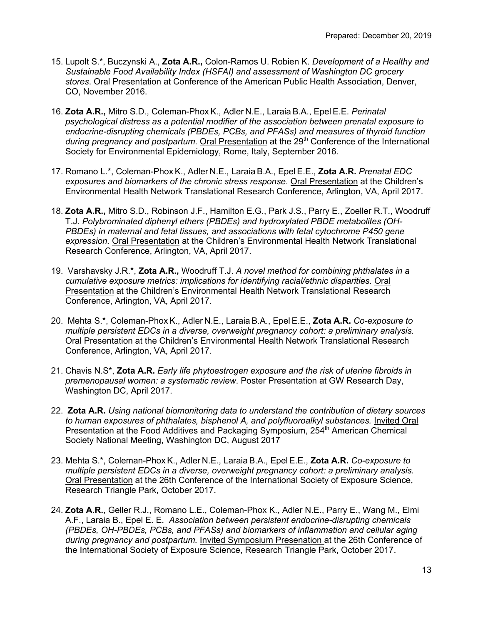- 15. Lupolt S.\*, Buczynski A., **Zota A.R.,** Colon-Ramos U. Robien K. *Development of a Healthy and Sustainable Food Availability Index (HSFAI) and assessment of Washington DC grocery stores*. Oral Presentation at Conference of the American Public Health Association, Denver, CO, November 2016.
- 16. **Zota A.R.,** Mitro S.D., Coleman-Phox K., Adler N.E., Laraia B.A., Epel E.E. *Perinatal psychological distress as a potential modifier of the association between prenatal exposure to endocrine-disrupting chemicals (PBDEs, PCBs, and PFASs) and measures of thyroid function*  during pregnancy and postpartum. Oral Presentation at the 29<sup>th</sup> Conference of the International Society for Environmental Epidemiology, Rome, Italy, September 2016.
- 17. Romano L.\*, Coleman-Phox K., Adler N.E., Laraia B.A., Epel E.E., **Zota A.R.** *Prenatal EDC exposures and biomarkers of the chronic stress response*. Oral Presentation at the Children's Environmental Health Network Translational Research Conference, Arlington, VA, April 2017.
- 18. **Zota A.R.,** Mitro S.D., Robinson J.F., Hamilton E.G., Park J.S., Parry E., Zoeller R.T., Woodruff T.J. *Polybrominated diphenyl ethers (PBDEs) and hydroxylated PBDE metabolites (OH-PBDEs) in maternal and fetal tissues, and associations with fetal cytochrome P450 gene expression.* Oral Presentation at the Children's Environmental Health Network Translational Research Conference, Arlington, VA, April 2017.
- 19. Varshavsky J.R.\*, **Zota A.R.,** Woodruff T.J. *A novel method for combining phthalates in a cumulative exposure metrics: implications for identifying racial/ethnic disparities.* Oral Presentation at the Children's Environmental Health Network Translational Research Conference, Arlington, VA, April 2017.
- 20. Mehta S.\*, Coleman-Phox K., Adler N.E., Laraia B.A., Epel E.E., **Zota A.R.** *Co-exposure to multiple persistent EDCs in a diverse, overweight pregnancy cohort: a preliminary analysis*. Oral Presentation at the Children's Environmental Health Network Translational Research Conference, Arlington, VA, April 2017.
- 21. Chavis N.S\*, **Zota A.R.** *Early life phytoestrogen exposure and the risk of uterine fibroids in premenopausal women: a systematic review*. Poster Presentation at GW Research Day, Washington DC, April 2017.
- 22. **Zota A.R.** *Using national biomonitoring data to understand the contribution of dietary sources to human exposures of phthalates, bisphenol A, and polyfluoroalkyl substances.* Invited Oral Presentation at the Food Additives and Packaging Symposium, 254<sup>th</sup> American Chemical Society National Meeting, Washington DC, August 2017
- 23. Mehta S.\*, Coleman-Phox K., Adler N.E., Laraia B.A., Epel E.E., **Zota A.R.** *Co-exposure to multiple persistent EDCs in a diverse, overweight pregnancy cohort: a preliminary analysis*. Oral Presentation at the 26th Conference of the International Society of Exposure Science, Research Triangle Park, October 2017.
- 24. **Zota A.R.**, Geller R.J., Romano L.E., Coleman-Phox K., Adler N.E., Parry E., Wang M., Elmi A.F., Laraia B., Epel E. E. *Association between persistent endocrine-disrupting chemicals (PBDEs, OH-PBDEs, PCBs, and PFASs) and biomarkers of inflammation and cellular aging during pregnancy and postpartum.* Invited Symposium Presenation at the 26th Conference of the International Society of Exposure Science, Research Triangle Park, October 2017.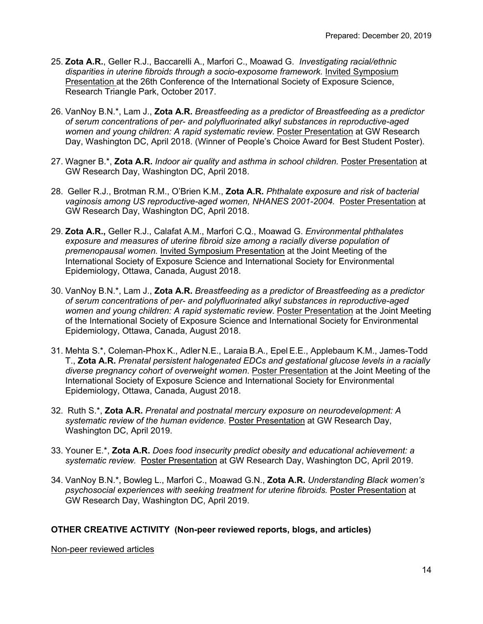- 25. **Zota A.R.**, Geller R.J., Baccarelli A., Marfori C., Moawad G. *Investigating racial/ethnic disparities in uterine fibroids through a socio-exposome framework.* Invited Symposium Presentation at the 26th Conference of the International Society of Exposure Science, Research Triangle Park, October 2017.
- 26. VanNoy B.N.\*, Lam J., **Zota A.R.** *Breastfeeding as a predictor of Breastfeeding as a predictor of serum concentrations of per- and polyfluorinated alkyl substances in reproductive-aged women and young children: A rapid systematic review*. Poster Presentation at GW Research Day, Washington DC, April 2018. (Winner of People's Choice Award for Best Student Poster).
- 27. Wagner B.\*, **Zota A.R.** *Indoor air quality and asthma in school children.* Poster Presentation at GW Research Day, Washington DC, April 2018.
- 28. Geller R.J., Brotman R.M., O'Brien K.M., **Zota A.R.** *Phthalate exposure and risk of bacterial vaginosis among US reproductive-aged women, NHANES 2001-2004.* Poster Presentation at GW Research Day, Washington DC, April 2018.
- 29. **Zota A.R.,** Geller R.J., Calafat A.M., Marfori C.Q., Moawad G. *Environmental phthalates exposure and measures of uterine fibroid size among a racially diverse population of premenopausal women.* Invited Symposium Presentation at the Joint Meeting of the International Society of Exposure Science and International Society for Environmental Epidemiology, Ottawa, Canada, August 2018.
- 30. VanNoy B.N.\*, Lam J., **Zota A.R.** *Breastfeeding as a predictor of Breastfeeding as a predictor of serum concentrations of per- and polyfluorinated alkyl substances in reproductive-aged women and young children: A rapid systematic review*. Poster Presentation at the Joint Meeting of the International Society of Exposure Science and International Society for Environmental Epidemiology, Ottawa, Canada, August 2018.
- 31. Mehta S.\*, Coleman-Phox K., Adler N.E., Laraia B.A., Epel E.E., Applebaum K.M., James-Todd T., **Zota A.R.** *Prenatal persistent halogenated EDCs and gestational glucose levels in a racially diverse pregnancy cohort of overweight women*. Poster Presentation at the Joint Meeting of the International Society of Exposure Science and International Society for Environmental Epidemiology, Ottawa, Canada, August 2018.
- 32. Ruth S.\*, **Zota A.R.** *Prenatal and postnatal mercury exposure on neurodevelopment: A systematic review of the human evidence.* Poster Presentation at GW Research Day, Washington DC, April 2019.
- 33. Youner E.\*, **Zota A.R.** *Does food insecurity predict obesity and educational achievement: a systematic review.* Poster Presentation at GW Research Day, Washington DC, April 2019.
- 34. VanNoy B.N.\*, Bowleg L., Marfori C., Moawad G.N., **Zota A.R.** *Understanding Black women's psychosocial experiences with seeking treatment for uterine fibroids.* Poster Presentation at GW Research Day, Washington DC, April 2019.

# **OTHER CREATIVE ACTIVITY (Non-peer reviewed reports, blogs, and articles)**

Non-peer reviewed articles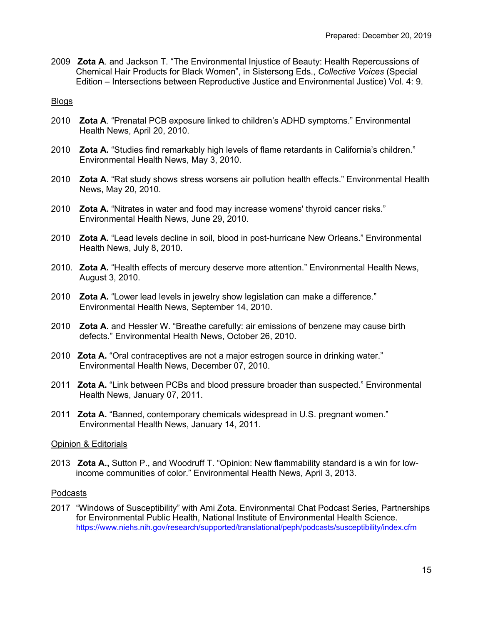2009 **Zota A**. and Jackson T. "The Environmental Injustice of Beauty: Health Repercussions of Chemical Hair Products for Black Women", in Sistersong Eds., *Collective Voices* (Special Edition – Intersections between Reproductive Justice and Environmental Justice) Vol. 4: 9.

Blogs

- 2010 **Zota A**. "Prenatal PCB exposure linked to children's ADHD symptoms." Environmental Health News, April 20, 2010.
- 2010 **Zota A.** "Studies find remarkably high levels of flame retardants in California's children." Environmental Health News, May 3, 2010.
- 2010 **Zota A.** "Rat study shows stress worsens air pollution health effects." Environmental Health News, May 20, 2010.
- 2010 **Zota A.** "Nitrates in water and food may increase womens' thyroid cancer risks." Environmental Health News, June 29, 2010.
- 2010 **Zota A.** "Lead levels decline in soil, blood in post-hurricane New Orleans." Environmental Health News, July 8, 2010.
- 2010. **Zota A.** "Health effects of mercury deserve more attention." Environmental Health News, August 3, 2010.
- 2010 **Zota A.** "Lower lead levels in jewelry show legislation can make a difference." Environmental Health News, September 14, 2010.
- 2010 **Zota A.** and Hessler W. "Breathe carefully: air emissions of benzene may cause birth defects." Environmental Health News, October 26, 2010.
- 2010 **Zota A.** "Oral contraceptives are not a major estrogen source in drinking water." Environmental Health News, December 07, 2010.
- 2011 **Zota A.** "Link between PCBs and blood pressure broader than suspected." Environmental Health News, January 07, 2011.
- 2011 **Zota A.** "Banned, contemporary chemicals widespread in U.S. pregnant women." Environmental Health News, January 14, 2011.

## Opinion & Editorials

2013 **Zota A.,** Sutton P., and Woodruff T. "Opinion: New flammability standard is a win for lowincome communities of color." Environmental Health News, April 3, 2013.

## Podcasts

2017 "Windows of Susceptibility" with Ami Zota. Environmental Chat Podcast Series, Partnerships for Environmental Public Health, National Institute of Environmental Health Science. https://www.niehs.nih.gov/research/supported/translational/peph/podcasts/susceptibility/index.cfm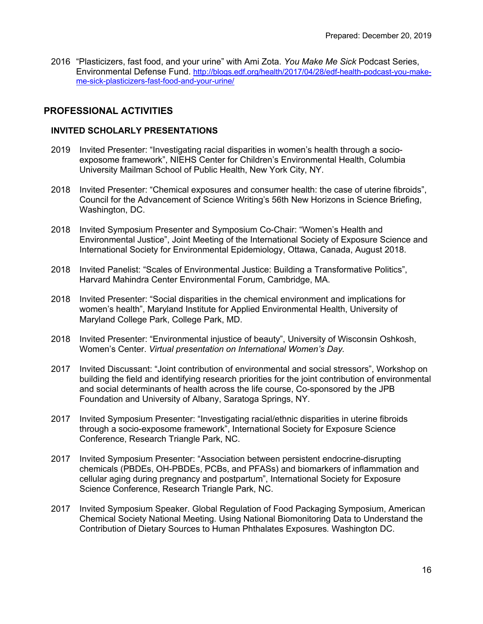2016 "Plasticizers, fast food, and your urine" with Ami Zota. *You Make Me Sick* Podcast Series, Environmental Defense Fund. http://blogs.edf.org/health/2017/04/28/edf-health-podcast-you-makeme-sick-plasticizers-fast-food-and-your-urine/

# **PROFESSIONAL ACTIVITIES**

#### **INVITED SCHOLARLY PRESENTATIONS**

- 2019 Invited Presenter: "Investigating racial disparities in women's health through a socioexposome framework", NIEHS Center for Children's Environmental Health, Columbia University Mailman School of Public Health, New York City, NY.
- 2018 Invited Presenter: "Chemical exposures and consumer health: the case of uterine fibroids", Council for the Advancement of Science Writing's 56th New Horizons in Science Briefing, Washington, DC.
- 2018 Invited Symposium Presenter and Symposium Co-Chair: "Women's Health and Environmental Justice", Joint Meeting of the International Society of Exposure Science and International Society for Environmental Epidemiology, Ottawa, Canada, August 2018.
- 2018 Invited Panelist: "Scales of Environmental Justice: Building a Transformative Politics", Harvard Mahindra Center Environmental Forum, Cambridge, MA.
- 2018 Invited Presenter: "Social disparities in the chemical environment and implications for women's health", Maryland Institute for Applied Environmental Health, University of Maryland College Park, College Park, MD.
- 2018 Invited Presenter: "Environmental injustice of beauty", University of Wisconsin Oshkosh, Women's Center. *Virtual presentation on International Women's Day.*
- 2017 Invited Discussant: "Joint contribution of environmental and social stressors", Workshop on building the field and identifying research priorities for the joint contribution of environmental and social determinants of health across the life course, Co-sponsored by the JPB Foundation and University of Albany, Saratoga Springs, NY.
- 2017 Invited Symposium Presenter: "Investigating racial/ethnic disparities in uterine fibroids through a socio-exposome framework", International Society for Exposure Science Conference, Research Triangle Park, NC.
- 2017 Invited Symposium Presenter: "Association between persistent endocrine-disrupting chemicals (PBDEs, OH-PBDEs, PCBs, and PFASs) and biomarkers of inflammation and cellular aging during pregnancy and postpartum", International Society for Exposure Science Conference, Research Triangle Park, NC.
- 2017 Invited Symposium Speaker. Global Regulation of Food Packaging Symposium, American Chemical Society National Meeting. Using National Biomonitoring Data to Understand the Contribution of Dietary Sources to Human Phthalates Exposures*.* Washington DC.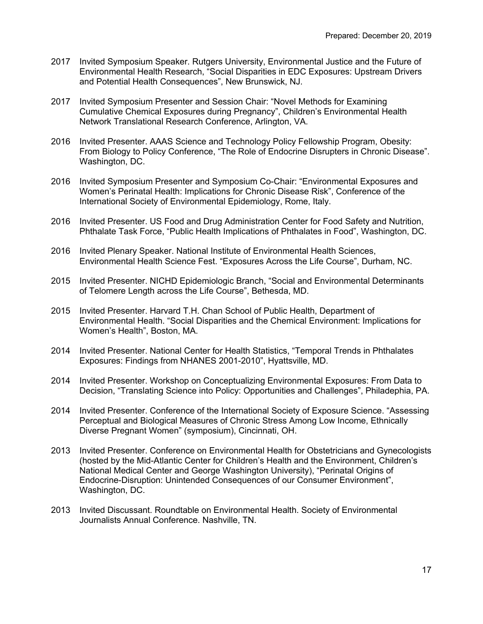- 2017 Invited Symposium Speaker. Rutgers University, Environmental Justice and the Future of Environmental Health Research, "Social Disparities in EDC Exposures: Upstream Drivers and Potential Health Consequences", New Brunswick, NJ.
- 2017 Invited Symposium Presenter and Session Chair: "Novel Methods for Examining Cumulative Chemical Exposures during Pregnancy", Children's Environmental Health Network Translational Research Conference, Arlington, VA.
- 2016 Invited Presenter. AAAS Science and Technology Policy Fellowship Program, Obesity: From Biology to Policy Conference, "The Role of Endocrine Disrupters in Chronic Disease". Washington, DC.
- 2016 Invited Symposium Presenter and Symposium Co-Chair: "Environmental Exposures and Women's Perinatal Health: Implications for Chronic Disease Risk", Conference of the International Society of Environmental Epidemiology, Rome, Italy.
- 2016 Invited Presenter. US Food and Drug Administration Center for Food Safety and Nutrition, Phthalate Task Force, "Public Health Implications of Phthalates in Food", Washington, DC.
- 2016 Invited Plenary Speaker. National Institute of Environmental Health Sciences, Environmental Health Science Fest. "Exposures Across the Life Course", Durham, NC.
- 2015 Invited Presenter. NICHD Epidemiologic Branch, "Social and Environmental Determinants of Telomere Length across the Life Course", Bethesda, MD.
- 2015 Invited Presenter. Harvard T.H. Chan School of Public Health, Department of Environmental Health. "Social Disparities and the Chemical Environment: Implications for Women's Health", Boston, MA.
- 2014 Invited Presenter. National Center for Health Statistics, "Temporal Trends in Phthalates Exposures: Findings from NHANES 2001-2010", Hyattsville, MD.
- 2014 Invited Presenter. Workshop on Conceptualizing Environmental Exposures: From Data to Decision, "Translating Science into Policy: Opportunities and Challenges", Philadephia, PA.
- 2014 Invited Presenter. Conference of the International Society of Exposure Science. "Assessing Perceptual and Biological Measures of Chronic Stress Among Low Income, Ethnically Diverse Pregnant Women" (symposium), Cincinnati, OH.
- 2013 Invited Presenter. Conference on Environmental Health for Obstetricians and Gynecologists (hosted by the Mid-Atlantic Center for Children's Health and the Environment, Children's National Medical Center and George Washington University), "Perinatal Origins of Endocrine-Disruption: Unintended Consequences of our Consumer Environment", Washington, DC.
- 2013 Invited Discussant. Roundtable on Environmental Health. Society of Environmental Journalists Annual Conference. Nashville, TN.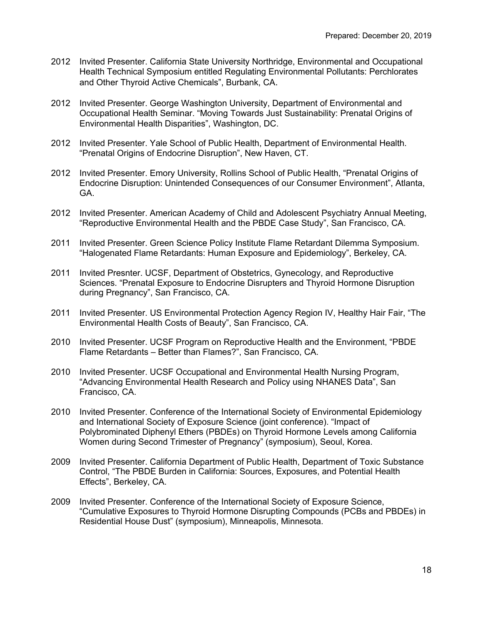- 2012 Invited Presenter. California State University Northridge, Environmental and Occupational Health Technical Symposium entitled Regulating Environmental Pollutants: Perchlorates and Other Thyroid Active Chemicals", Burbank, CA.
- 2012 Invited Presenter. George Washington University, Department of Environmental and Occupational Health Seminar. "Moving Towards Just Sustainability: Prenatal Origins of Environmental Health Disparities", Washington, DC.
- 2012 Invited Presenter. Yale School of Public Health, Department of Environmental Health. "Prenatal Origins of Endocrine Disruption", New Haven, CT.
- 2012 Invited Presenter. Emory University, Rollins School of Public Health, "Prenatal Origins of Endocrine Disruption: Unintended Consequences of our Consumer Environment", Atlanta, GA.
- 2012 Invited Presenter. American Academy of Child and Adolescent Psychiatry Annual Meeting, "Reproductive Environmental Health and the PBDE Case Study", San Francisco, CA.
- 2011 Invited Presenter. Green Science Policy Institute Flame Retardant Dilemma Symposium. "Halogenated Flame Retardants: Human Exposure and Epidemiology", Berkeley, CA.
- 2011 Invited Presnter. UCSF, Department of Obstetrics, Gynecology, and Reproductive Sciences. "Prenatal Exposure to Endocrine Disrupters and Thyroid Hormone Disruption during Pregnancy", San Francisco, CA.
- 2011 Invited Presenter. US Environmental Protection Agency Region IV, Healthy Hair Fair, "The Environmental Health Costs of Beauty", San Francisco, CA.
- 2010 Invited Presenter. UCSF Program on Reproductive Health and the Environment, "PBDE Flame Retardants – Better than Flames?", San Francisco, CA.
- 2010 Invited Presenter. UCSF Occupational and Environmental Health Nursing Program, "Advancing Environmental Health Research and Policy using NHANES Data", San Francisco, CA.
- 2010 Invited Presenter. Conference of the International Society of Environmental Epidemiology and International Society of Exposure Science (joint conference). "Impact of Polybrominated Diphenyl Ethers (PBDEs) on Thyroid Hormone Levels among California Women during Second Trimester of Pregnancy" (symposium), Seoul, Korea.
- 2009 Invited Presenter. California Department of Public Health, Department of Toxic Substance Control, "The PBDE Burden in California: Sources, Exposures, and Potential Health Effects", Berkeley, CA.
- 2009 Invited Presenter. Conference of the International Society of Exposure Science, "Cumulative Exposures to Thyroid Hormone Disrupting Compounds (PCBs and PBDEs) in Residential House Dust" (symposium), Minneapolis, Minnesota.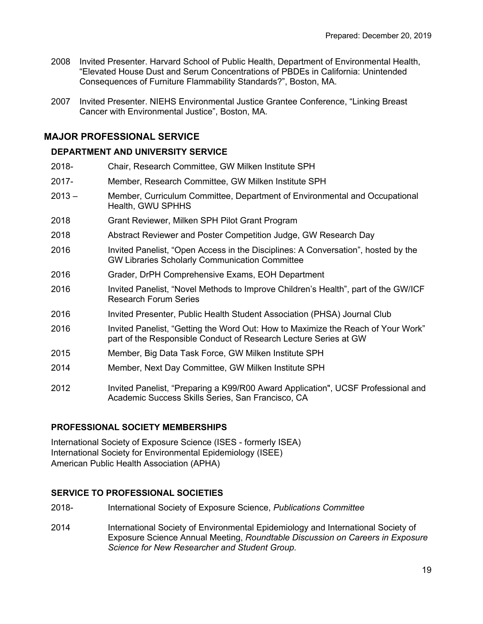- 2008 Invited Presenter. Harvard School of Public Health, Department of Environmental Health, "Elevated House Dust and Serum Concentrations of PBDEs in California: Unintended Consequences of Furniture Flammability Standards?", Boston, MA.
- 2007 Invited Presenter. NIEHS Environmental Justice Grantee Conference, "Linking Breast Cancer with Environmental Justice", Boston, MA.

## **MAJOR PROFESSIONAL SERVICE**

## **DEPARTMENT AND UNIVERSITY SERVICE**

- 2018- Chair, Research Committee, GW Milken Institute SPH
- 2017- Member, Research Committee, GW Milken Institute SPH
- 2013 Member, Curriculum Committee, Department of Environmental and Occupational Health, GWU SPHHS
- 2018 Grant Reviewer, Milken SPH Pilot Grant Program
- 2018 Abstract Reviewer and Poster Competition Judge, GW Research Day
- 2016 Invited Panelist, "Open Access in the Disciplines: A Conversation", hosted by the GW Libraries Scholarly Communication Committee
- 2016 Grader, DrPH Comprehensive Exams, EOH Department
- 2016 Invited Panelist, "Novel Methods to Improve Children's Health", part of the GW/ICF Research Forum Series
- 2016 Invited Presenter, Public Health Student Association (PHSA) Journal Club
- 2016 Invited Panelist, "Getting the Word Out: How to Maximize the Reach of Your Work" part of the Responsible Conduct of Research Lecture Series at GW
- 2015 Member, Big Data Task Force, GW Milken Institute SPH
- 2014 Member, Next Day Committee, GW Milken Institute SPH
- 2012 Invited Panelist, "Preparing a K99/R00 Award Application", UCSF Professional and Academic Success Skills Series, San Francisco, CA

## **PROFESSIONAL SOCIETY MEMBERSHIPS**

International Society of Exposure Science (ISES - formerly ISEA) International Society for Environmental Epidemiology (ISEE) American Public Health Association (APHA)

## **SERVICE TO PROFESSIONAL SOCIETIES**

- 2018- International Society of Exposure Science, *Publications Committee*
- 2014 International Society of Environmental Epidemiology and International Society of Exposure Science Annual Meeting, *Roundtable Discussion on Careers in Exposure Science for New Researcher and Student Group.*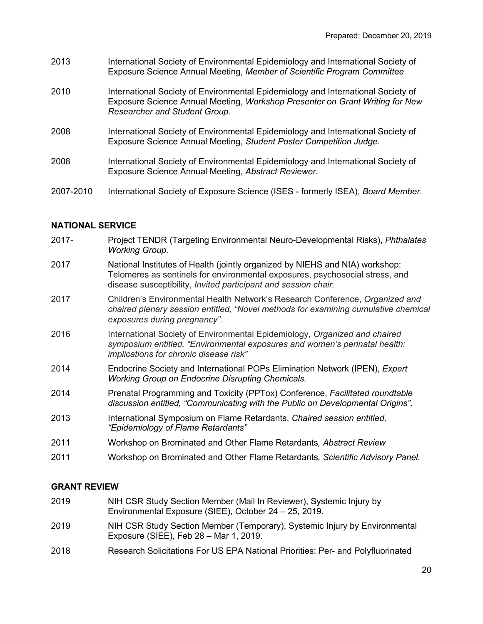- 2013 International Society of Environmental Epidemiology and International Society of Exposure Science Annual Meeting, *Member of Scientific Program Committee*
- 2010 International Society of Environmental Epidemiology and International Society of Exposure Science Annual Meeting, *Workshop Presenter on Grant Writing for New Researcher and Student Group.*
- 2008 International Society of Environmental Epidemiology and International Society of Exposure Science Annual Meeting, *Student Poster Competition Judge.*
- 2008 International Society of Environmental Epidemiology and International Society of Exposure Science Annual Meeting, *Abstract Reviewer.*
- 2007-2010 International Society of Exposure Science (ISES formerly ISEA), *Board Member.*

#### **NATIONAL SERVICE**

- 2017- Project TENDR (Targeting Environmental Neuro-Developmental Risks), *Phthalates Working Group.*
- 2017 National Institutes of Health (jointly organized by NIEHS and NIA) workshop: Telomeres as sentinels for environmental exposures, psychosocial stress, and disease susceptibility, *Invited participant and session chair.*
- 2017 Children's Environmental Health Network's Research Conference, *Organized and chaired plenary session entitled, "Novel methods for examining cumulative chemical exposures during pregnancy".*
- 2016 International Society of Environmental Epidemiology, *Organized and chaired symposium entitled, "Environmental exposures and women's perinatal health: implications for chronic disease risk"*
- 2014 Endocrine Society and International POPs Elimination Network (IPEN), *Expert Working Group on Endocrine Disrupting Chemicals.*
- 2014 Prenatal Programming and Toxicity (PPTox) Conference, *Facilitated roundtable discussion entitled, "Communicating with the Public on Developmental Origins".*
- 2013 International Symposium on Flame Retardants, *Chaired session entitled, "Epidemiology of Flame Retardants"*
- 2011 Workshop on Brominated and Other Flame Retardants*, Abstract Review*
- 2011 Workshop on Brominated and Other Flame Retardants*, Scientific Advisory Panel.*

# **GRANT REVIEW**

- 2019 NIH CSR Study Section Member (Mail In Reviewer), Systemic Injury by Environmental Exposure (SIEE), October 24 – 25, 2019.
- 2019 NIH CSR Study Section Member (Temporary), Systemic Injury by Environmental Exposure (SIEE), Feb 28 – Mar 1, 2019.
- 2018 Research Solicitations For US EPA National Priorities: Per- and Polyfluorinated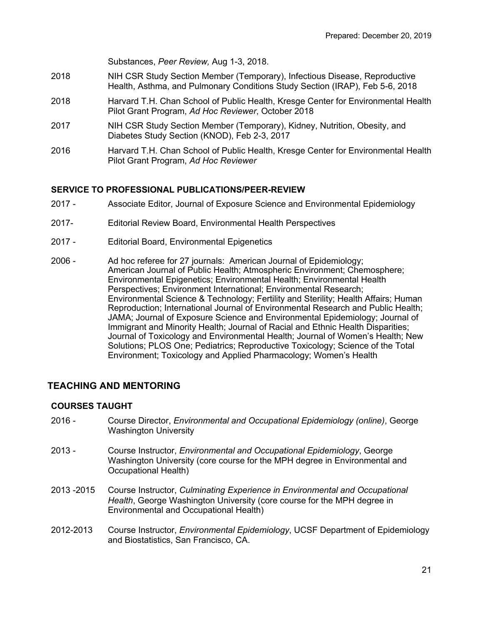Substances, *Peer Review,* Aug 1-3, 2018.

- 2018 NIH CSR Study Section Member (Temporary), Infectious Disease, Reproductive Health, Asthma, and Pulmonary Conditions Study Section (IRAP), Feb 5-6, 2018
- 2018 Harvard T.H. Chan School of Public Health, Kresge Center for Environmental Health Pilot Grant Program, *Ad Hoc Reviewer*, October 2018
- 2017 NIH CSR Study Section Member (Temporary), Kidney, Nutrition, Obesity, and Diabetes Study Section (KNOD), Feb 2-3, 2017
- 2016 Harvard T.H. Chan School of Public Health, Kresge Center for Environmental Health Pilot Grant Program, *Ad Hoc Reviewer*

# **SERVICE TO PROFESSIONAL PUBLICATIONS/PEER-REVIEW**

- 2017 Associate Editor, Journal of Exposure Science and Environmental Epidemiology
- 2017- Editorial Review Board, Environmental Health Perspectives
- 2017 Editorial Board, Environmental Epigenetics
- 2006 Ad hoc referee for 27 journals: American Journal of Epidemiology; American Journal of Public Health; Atmospheric Environment; Chemosphere; Environmental Epigenetics; Environmental Health; Environmental Health Perspectives; Environment International; Environmental Research; Environmental Science & Technology; Fertility and Sterility; Health Affairs; Human Reproduction; International Journal of Environmental Research and Public Health; JAMA; Journal of Exposure Science and Environmental Epidemiology; Journal of Immigrant and Minority Health; Journal of Racial and Ethnic Health Disparities; Journal of Toxicology and Environmental Health; Journal of Women's Health; New Solutions; PLOS One; Pediatrics; Reproductive Toxicology; Science of the Total Environment; Toxicology and Applied Pharmacology; Women's Health

# **TEACHING AND MENTORING**

# **COURSES TAUGHT**

- 2016 Course Director, *Environmental and Occupational Epidemiology (online)*, George Washington University
- 2013 Course Instructor, *Environmental and Occupational Epidemiology*, George Washington University (core course for the MPH degree in Environmental and Occupational Health)
- 2013 -2015 Course Instructor, *Culminating Experience in Environmental and Occupational Health*, George Washington University (core course for the MPH degree in Environmental and Occupational Health)
- 2012-2013 Course Instructor, *Environmental Epidemiology*, UCSF Department of Epidemiology and Biostatistics, San Francisco, CA.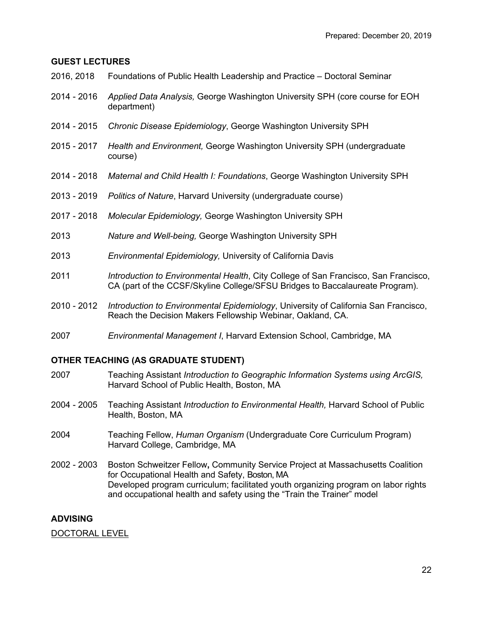#### **GUEST LECTURES**

- 2016, 2018 Foundations of Public Health Leadership and Practice Doctoral Seminar
- 2014 2016 *Applied Data Analysis,* George Washington University SPH (core course for EOH department)
- 2014 2015 *Chronic Disease Epidemiology*, George Washington University SPH
- 2015 2017 *Health and Environment,* George Washington University SPH (undergraduate course)
- 2014 2018 *Maternal and Child Health I: Foundations*, George Washington University SPH
- 2013 2019 *Politics of Nature*, Harvard University (undergraduate course)
- 2017 2018 *Molecular Epidemiology,* George Washington University SPH
- 2013 *Nature and Well-being,* George Washington University SPH
- 2013 *Environmental Epidemiology,* University of California Davis
- 2011 *Introduction to Environmental Health*, City College of San Francisco, San Francisco, CA (part of the CCSF/Skyline College/SFSU Bridges to Baccalaureate Program).
- 2010 2012 *Introduction to Environmental Epidemiology*, University of California San Francisco, Reach the Decision Makers Fellowship Webinar, Oakland, CA.
- 2007 *Environmental Management I*, Harvard Extension School, Cambridge, MA

#### **OTHER TEACHING (AS GRADUATE STUDENT)**

- 2007 Teaching Assistant *Introduction to Geographic Information Systems using ArcGIS,*  Harvard School of Public Health, Boston, MA
- 2004 2005 Teaching Assistant *Introduction to Environmental Health,* Harvard School of Public Health, Boston, MA
- 2004 Teaching Fellow, *Human Organism* (Undergraduate Core Curriculum Program) Harvard College, Cambridge, MA
- 2002 2003 Boston Schweitzer Fellow**,** Community Service Project at Massachusetts Coalition for Occupational Health and Safety, Boston, MA Developed program curriculum; facilitated youth organizing program on labor rights and occupational health and safety using the "Train the Trainer" model

#### **ADVISING**

DOCTORAL LEVEL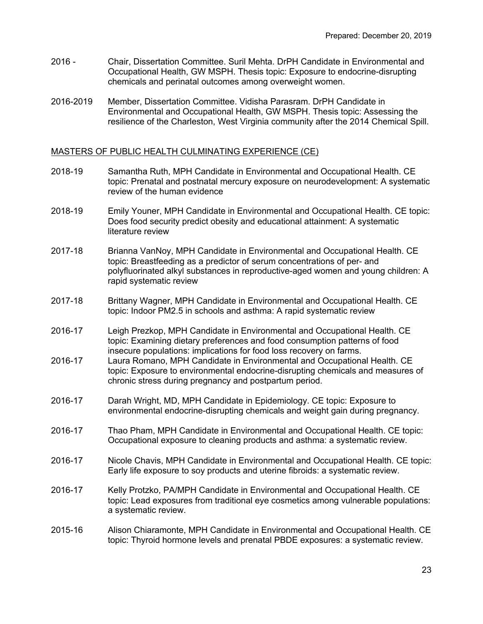- 2016 Chair, Dissertation Committee. Suril Mehta. DrPH Candidate in Environmental and Occupational Health, GW MSPH. Thesis topic: Exposure to endocrine-disrupting chemicals and perinatal outcomes among overweight women.
- 2016-2019 Member, Dissertation Committee. Vidisha Parasram. DrPH Candidate in Environmental and Occupational Health, GW MSPH. Thesis topic: Assessing the resilience of the Charleston, West Virginia community after the 2014 Chemical Spill.

## MASTERS OF PUBLIC HEALTH CULMINATING EXPERIENCE (CE)

- 2018-19 Samantha Ruth, MPH Candidate in Environmental and Occupational Health. CE topic: Prenatal and postnatal mercury exposure on neurodevelopment: A systematic review of the human evidence
- 2018-19 Emily Youner, MPH Candidate in Environmental and Occupational Health. CE topic: Does food security predict obesity and educational attainment: A systematic literature review
- 2017-18 Brianna VanNoy, MPH Candidate in Environmental and Occupational Health. CE topic: Breastfeeding as a predictor of serum concentrations of per- and polyfluorinated alkyl substances in reproductive-aged women and young children: A rapid systematic review
- 2017-18 Brittany Wagner, MPH Candidate in Environmental and Occupational Health. CE topic: Indoor PM2.5 in schools and asthma: A rapid systematic review
- 2016-17 Leigh Prezkop, MPH Candidate in Environmental and Occupational Health. CE topic: Examining dietary preferences and food consumption patterns of food insecure populations: implications for food loss recovery on farms.
- 2016-17 Laura Romano, MPH Candidate in Environmental and Occupational Health. CE topic: Exposure to environmental endocrine-disrupting chemicals and measures of chronic stress during pregnancy and postpartum period.
- 2016-17 Darah Wright, MD, MPH Candidate in Epidemiology. CE topic: Exposure to environmental endocrine-disrupting chemicals and weight gain during pregnancy.
- 2016-17 Thao Pham, MPH Candidate in Environmental and Occupational Health. CE topic: Occupational exposure to cleaning products and asthma: a systematic review.
- 2016-17 Nicole Chavis, MPH Candidate in Environmental and Occupational Health. CE topic: Early life exposure to soy products and uterine fibroids: a systematic review.
- 2016-17 Kelly Protzko, PA/MPH Candidate in Environmental and Occupational Health. CE topic: Lead exposures from traditional eye cosmetics among vulnerable populations: a systematic review.
- 2015-16 Alison Chiaramonte, MPH Candidate in Environmental and Occupational Health. CE topic: Thyroid hormone levels and prenatal PBDE exposures: a systematic review.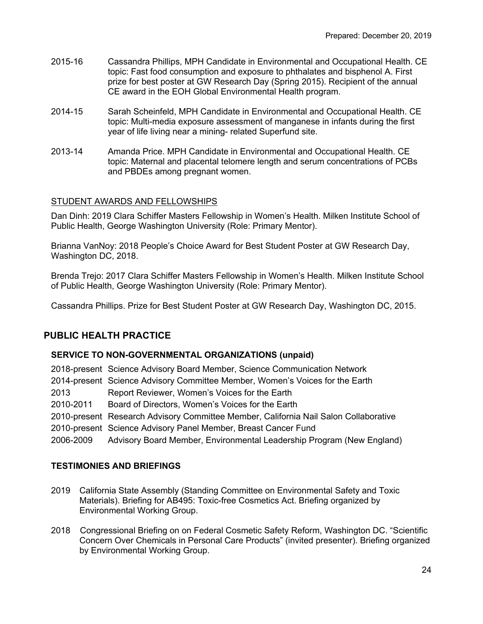- 2015-16 Cassandra Phillips, MPH Candidate in Environmental and Occupational Health. CE topic: Fast food consumption and exposure to phthalates and bisphenol A. First prize for best poster at GW Research Day (Spring 2015). Recipient of the annual CE award in the EOH Global Environmental Health program.
- 2014-15 Sarah Scheinfeld, MPH Candidate in Environmental and Occupational Health. CE topic: Multi-media exposure assessment of manganese in infants during the first year of life living near a mining- related Superfund site.
- 2013-14 Amanda Price. MPH Candidate in Environmental and Occupational Health. CE topic: Maternal and placental telomere length and serum concentrations of PCBs and PBDEs among pregnant women.

# STUDENT AWARDS AND FELLOWSHIPS

Dan Dinh: 2019 Clara Schiffer Masters Fellowship in Women's Health. Milken Institute School of Public Health, George Washington University (Role: Primary Mentor).

Brianna VanNoy: 2018 People's Choice Award for Best Student Poster at GW Research Day, Washington DC, 2018.

Brenda Trejo: 2017 Clara Schiffer Masters Fellowship in Women's Health. Milken Institute School of Public Health, George Washington University (Role: Primary Mentor).

Cassandra Phillips. Prize for Best Student Poster at GW Research Day, Washington DC, 2015.

# **PUBLIC HEALTH PRACTICE**

## **SERVICE TO NON-GOVERNMENTAL ORGANIZATIONS (unpaid)**

2018-present Science Advisory Board Member, Science Communication Network 2014-present Science Advisory Committee Member, Women's Voices for the Earth 2013 Report Reviewer, Women's Voices for the Earth 2010-2011 Board of Directors, Women's Voices for the Earth 2010-present Research Advisory Committee Member, California Nail Salon Collaborative 2010-present Science Advisory Panel Member, Breast Cancer Fund 2006-2009 Advisory Board Member, Environmental Leadership Program (New England)

## **TESTIMONIES AND BRIEFINGS**

- 2019 California State Assembly (Standing Committee on Environmental Safety and Toxic Materials). Briefing for AB495: Toxic-free Cosmetics Act. Briefing organized by Environmental Working Group.
- 2018 Congressional Briefing on on Federal Cosmetic Safety Reform, Washington DC. "Scientific Concern Over Chemicals in Personal Care Products" (invited presenter). Briefing organized by Environmental Working Group.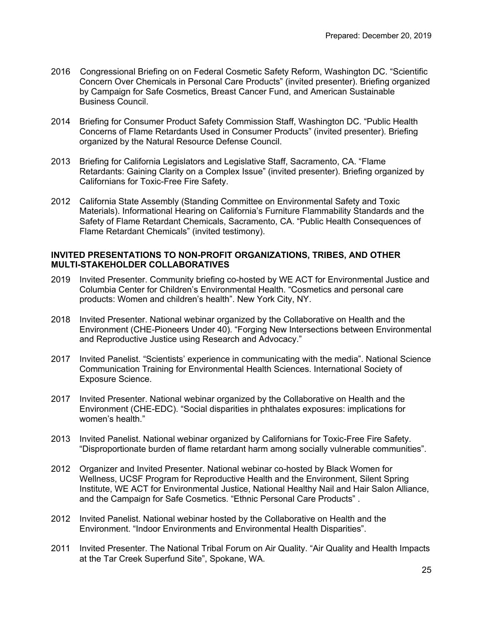- 2016 Congressional Briefing on on Federal Cosmetic Safety Reform, Washington DC. "Scientific Concern Over Chemicals in Personal Care Products" (invited presenter). Briefing organized by Campaign for Safe Cosmetics, Breast Cancer Fund, and American Sustainable Business Council.
- 2014 Briefing for Consumer Product Safety Commission Staff, Washington DC. "Public Health Concerns of Flame Retardants Used in Consumer Products" (invited presenter). Briefing organized by the Natural Resource Defense Council.
- 2013 Briefing for California Legislators and Legislative Staff, Sacramento, CA. "Flame Retardants: Gaining Clarity on a Complex Issue" (invited presenter). Briefing organized by Californians for Toxic-Free Fire Safety.
- 2012 California State Assembly (Standing Committee on Environmental Safety and Toxic Materials). Informational Hearing on California's Furniture Flammability Standards and the Safety of Flame Retardant Chemicals, Sacramento, CA. "Public Health Consequences of Flame Retardant Chemicals" (invited testimony).

## **INVITED PRESENTATIONS TO NON-PROFIT ORGANIZATIONS, TRIBES, AND OTHER MULTI-STAKEHOLDER COLLABORATIVES**

- 2019 Invited Presenter. Community briefing co-hosted by WE ACT for Environmental Justice and Columbia Center for Children's Environmental Health. "Cosmetics and personal care products: Women and children's health". New York City, NY.
- 2018 Invited Presenter. National webinar organized by the Collaborative on Health and the Environment (CHE-Pioneers Under 40). "Forging New Intersections between Environmental and Reproductive Justice using Research and Advocacy."
- 2017 Invited Panelist. "Scientists' experience in communicating with the media". National Science Communication Training for Environmental Health Sciences. International Society of Exposure Science.
- 2017 Invited Presenter. National webinar organized by the Collaborative on Health and the Environment (CHE-EDC). "Social disparities in phthalates exposures: implications for women's health."
- 2013 Invited Panelist. National webinar organized by Californians for Toxic-Free Fire Safety. "Disproportionate burden of flame retardant harm among socially vulnerable communities".
- 2012 Organizer and Invited Presenter. National webinar co-hosted by Black Women for Wellness, UCSF Program for Reproductive Health and the Environment, Silent Spring Institute, WE ACT for Environmental Justice, National Healthy Nail and Hair Salon Alliance, and the Campaign for Safe Cosmetics. "Ethnic Personal Care Products" .
- 2012 Invited Panelist. National webinar hosted by the Collaborative on Health and the Environment. "Indoor Environments and Environmental Health Disparities".
- 2011 Invited Presenter. The National Tribal Forum on Air Quality. "Air Quality and Health Impacts at the Tar Creek Superfund Site", Spokane, WA.